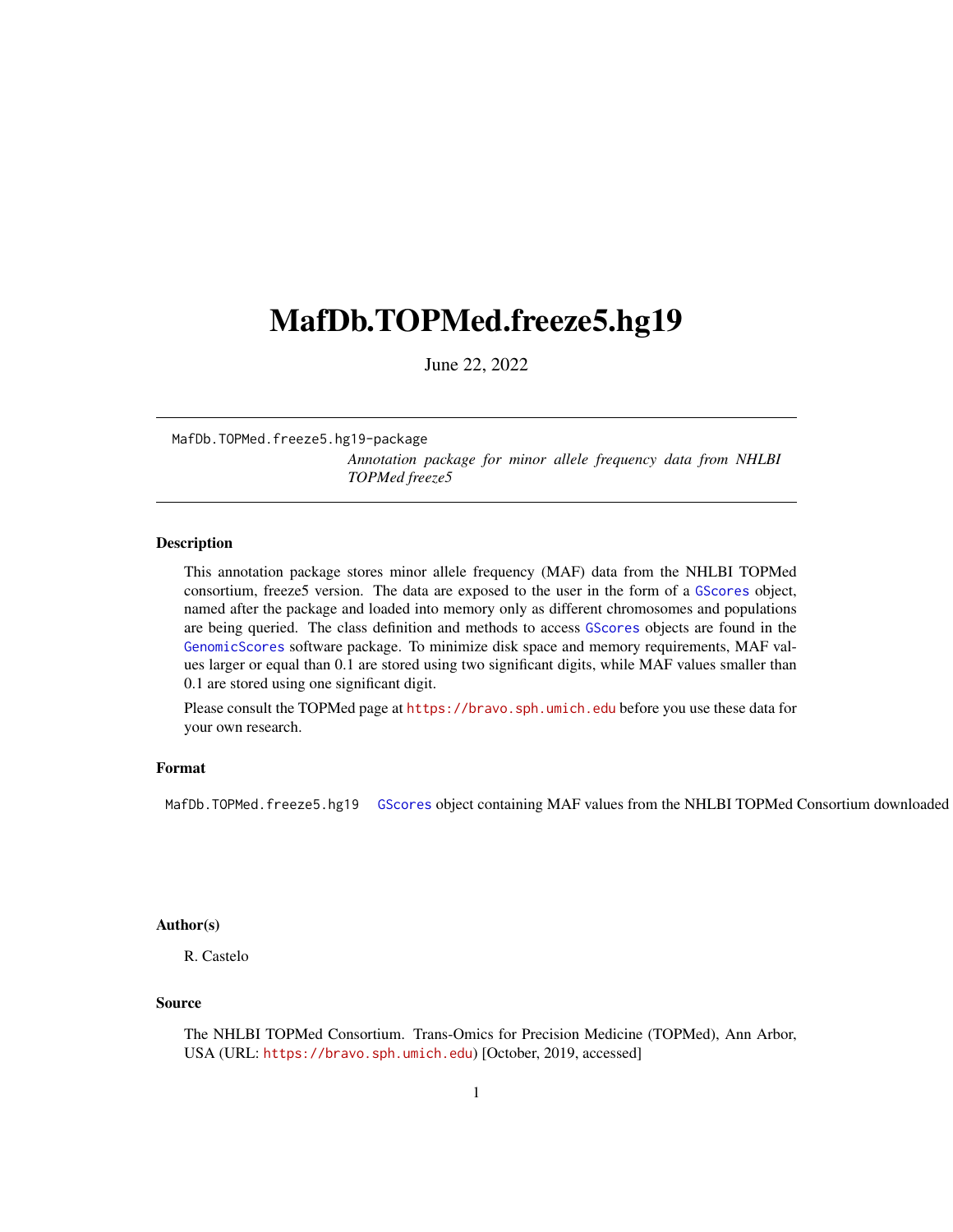# <span id="page-0-1"></span><span id="page-0-0"></span>MafDb.TOPMed.freeze5.hg19

June 22, 2022

MafDb.TOPMed.freeze5.hg19-package *Annotation package for minor allele frequency data from NHLBI TOPMed freeze5*

#### Description

This annotation package stores minor allele frequency (MAF) data from the NHLBI TOPMed consortium, freeze5 version. The data are exposed to the user in the form of a GScores object, named after the package and loaded into memory only as different chromosomes and populations are being queried. The class definition and methods to access GScores objects are found in the GenomicScores software package. To minimize disk space and memory requirements, MAF values larger or equal than 0.1 are stored using two significant digits, while MAF values smaller than 0.1 are stored using one significant digit.

Please consult the TOPMed page at <https://bravo.sph.umich.edu> before you use these data for your own research.

#### Format

MafDb. TOPMed. freeze5.hg19 GScores object containing MAF values from the NHLBI TOPMed Consortium downloaded

## Author(s)

R. Castelo

#### Source

The NHLBI TOPMed Consortium. Trans-Omics for Precision Medicine (TOPMed), Ann Arbor, USA (URL: <https://bravo.sph.umich.edu>) [October, 2019, accessed]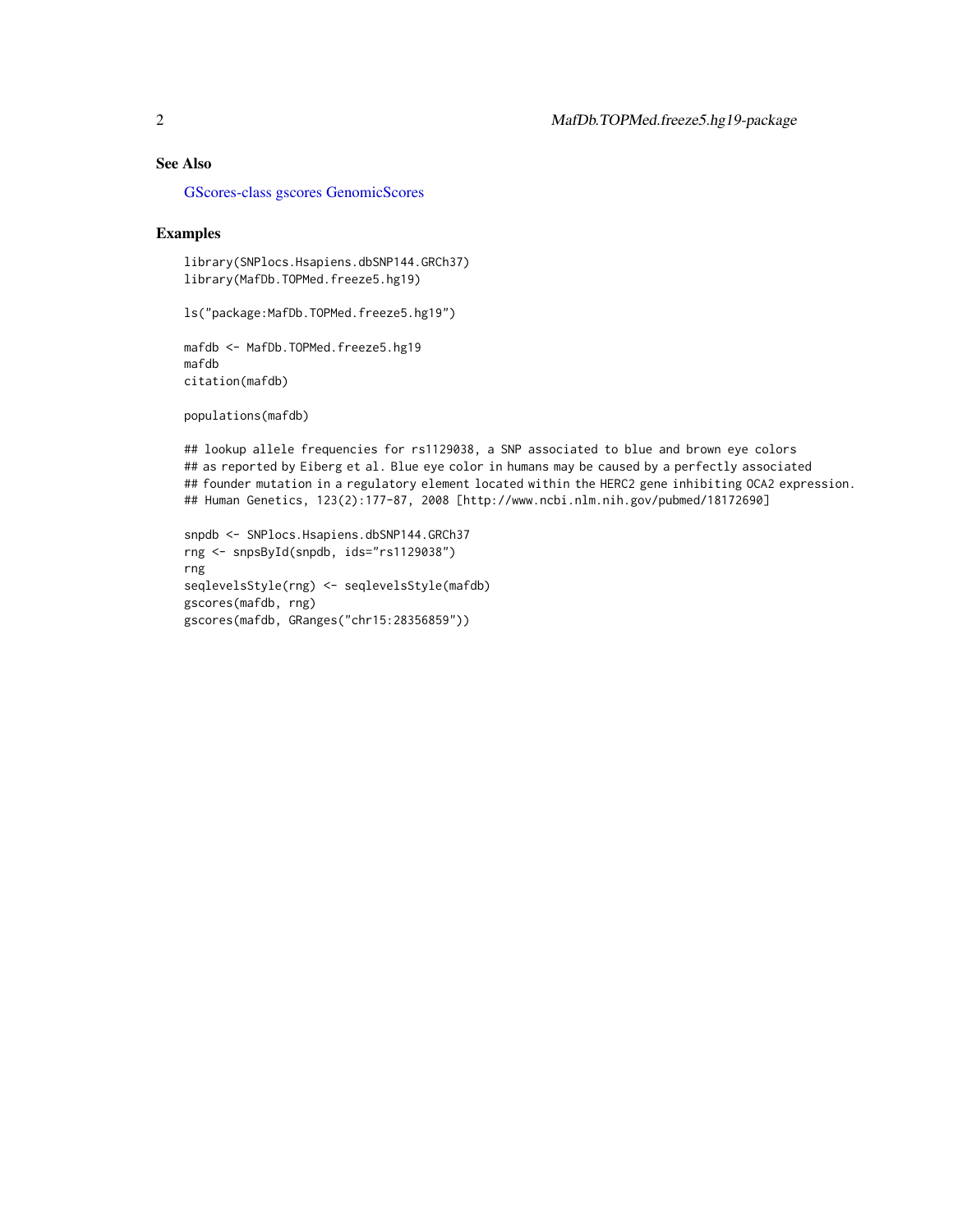## <span id="page-1-0"></span>See Also

[GScores-class](#page-0-0) [gscores](#page-0-0) [GenomicScores](#page-0-0)

#### Examples

library(SNPlocs.Hsapiens.dbSNP144.GRCh37) library(MafDb.TOPMed.freeze5.hg19)

ls("package:MafDb.TOPMed.freeze5.hg19")

mafdb <- MafDb.TOPMed.freeze5.hg19 mafdb citation(mafdb)

populations(mafdb)

## lookup allele frequencies for rs1129038, a SNP associated to blue and brown eye colors ## as reported by Eiberg et al. Blue eye color in humans may be caused by a perfectly associated ## founder mutation in a regulatory element located within the HERC2 gene inhibiting OCA2 expression. ## Human Genetics, 123(2):177-87, 2008 [http://www.ncbi.nlm.nih.gov/pubmed/18172690]

```
snpdb <- SNPlocs.Hsapiens.dbSNP144.GRCh37
rng <- snpsById(snpdb, ids="rs1129038")
rng
seqlevelsStyle(rng) <- seqlevelsStyle(mafdb)
gscores(mafdb, rng)
gscores(mafdb, GRanges("chr15:28356859"))
```